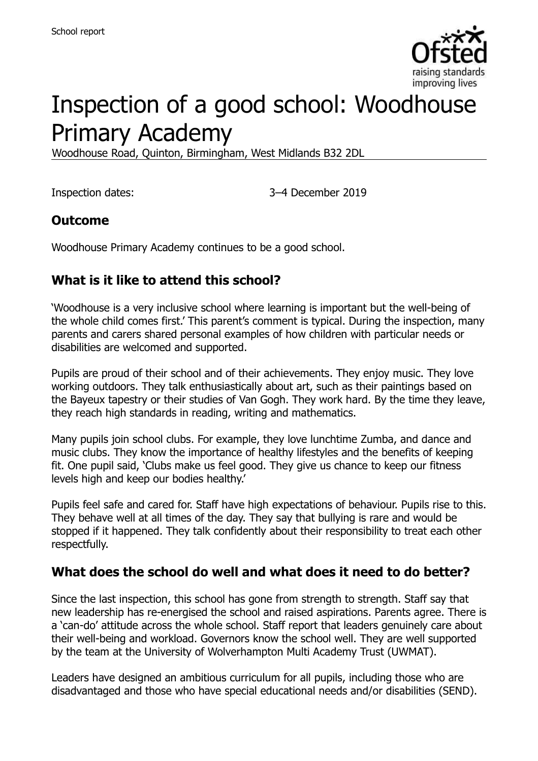

# Inspection of a good school: Woodhouse Primary Academy

Woodhouse Road, Quinton, Birmingham, West Midlands B32 2DL

Inspection dates: 3–4 December 2019

#### **Outcome**

Woodhouse Primary Academy continues to be a good school.

### **What is it like to attend this school?**

'Woodhouse is a very inclusive school where learning is important but the well-being of the whole child comes first.' This parent's comment is typical. During the inspection, many parents and carers shared personal examples of how children with particular needs or disabilities are welcomed and supported.

Pupils are proud of their school and of their achievements. They enjoy music. They love working outdoors. They talk enthusiastically about art, such as their paintings based on the Bayeux tapestry or their studies of Van Gogh. They work hard. By the time they leave, they reach high standards in reading, writing and mathematics.

Many pupils join school clubs. For example, they love lunchtime Zumba, and dance and music clubs. They know the importance of healthy lifestyles and the benefits of keeping fit. One pupil said, 'Clubs make us feel good. They give us chance to keep our fitness levels high and keep our bodies healthy.'

Pupils feel safe and cared for. Staff have high expectations of behaviour. Pupils rise to this. They behave well at all times of the day. They say that bullying is rare and would be stopped if it happened. They talk confidently about their responsibility to treat each other respectfully.

#### **What does the school do well and what does it need to do better?**

Since the last inspection, this school has gone from strength to strength. Staff say that new leadership has re-energised the school and raised aspirations. Parents agree. There is a 'can-do' attitude across the whole school. Staff report that leaders genuinely care about their well-being and workload. Governors know the school well. They are well supported by the team at the University of Wolverhampton Multi Academy Trust (UWMAT).

Leaders have designed an ambitious curriculum for all pupils, including those who are disadvantaged and those who have special educational needs and/or disabilities (SEND).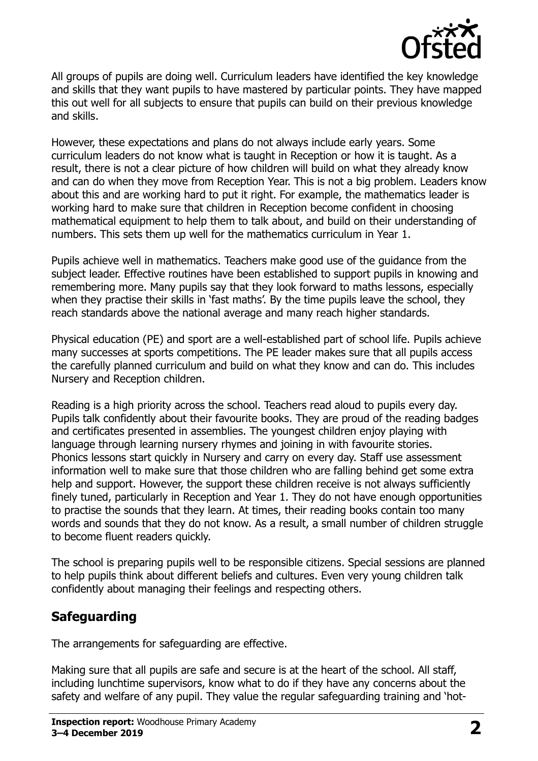

All groups of pupils are doing well. Curriculum leaders have identified the key knowledge and skills that they want pupils to have mastered by particular points. They have mapped this out well for all subjects to ensure that pupils can build on their previous knowledge and skills.

However, these expectations and plans do not always include early years. Some curriculum leaders do not know what is taught in Reception or how it is taught. As a result, there is not a clear picture of how children will build on what they already know and can do when they move from Reception Year. This is not a big problem. Leaders know about this and are working hard to put it right. For example, the mathematics leader is working hard to make sure that children in Reception become confident in choosing mathematical equipment to help them to talk about, and build on their understanding of numbers. This sets them up well for the mathematics curriculum in Year 1.

Pupils achieve well in mathematics. Teachers make good use of the guidance from the subject leader. Effective routines have been established to support pupils in knowing and remembering more. Many pupils say that they look forward to maths lessons, especially when they practise their skills in 'fast maths'. By the time pupils leave the school, they reach standards above the national average and many reach higher standards.

Physical education (PE) and sport are a well-established part of school life. Pupils achieve many successes at sports competitions. The PE leader makes sure that all pupils access the carefully planned curriculum and build on what they know and can do. This includes Nursery and Reception children.

Reading is a high priority across the school. Teachers read aloud to pupils every day. Pupils talk confidently about their favourite books. They are proud of the reading badges and certificates presented in assemblies. The youngest children enjoy playing with language through learning nursery rhymes and joining in with favourite stories. Phonics lessons start quickly in Nursery and carry on every day. Staff use assessment information well to make sure that those children who are falling behind get some extra help and support. However, the support these children receive is not always sufficiently finely tuned, particularly in Reception and Year 1. They do not have enough opportunities to practise the sounds that they learn. At times, their reading books contain too many words and sounds that they do not know. As a result, a small number of children struggle to become fluent readers quickly.

The school is preparing pupils well to be responsible citizens. Special sessions are planned to help pupils think about different beliefs and cultures. Even very young children talk confidently about managing their feelings and respecting others.

# **Safeguarding**

The arrangements for safeguarding are effective.

Making sure that all pupils are safe and secure is at the heart of the school. All staff, including lunchtime supervisors, know what to do if they have any concerns about the safety and welfare of any pupil. They value the regular safeguarding training and 'hot-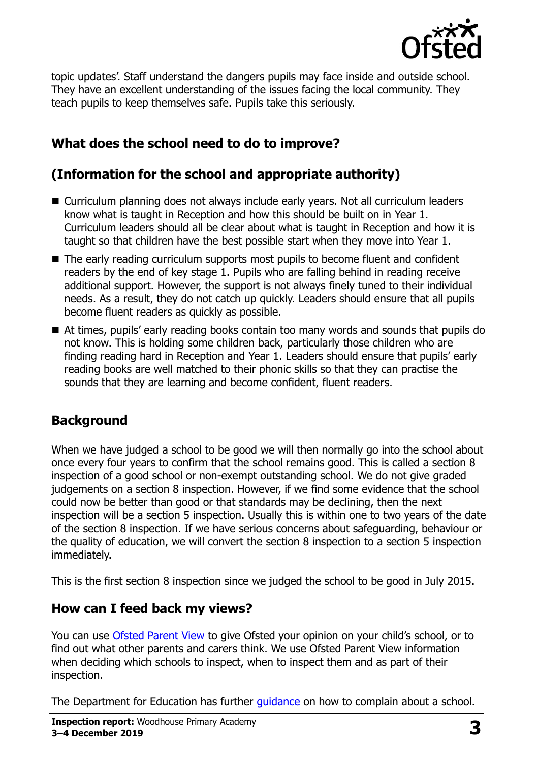

topic updates'. Staff understand the dangers pupils may face inside and outside school. They have an excellent understanding of the issues facing the local community. They teach pupils to keep themselves safe. Pupils take this seriously.

# **What does the school need to do to improve?**

# **(Information for the school and appropriate authority)**

- Curriculum planning does not always include early years. Not all curriculum leaders know what is taught in Reception and how this should be built on in Year 1. Curriculum leaders should all be clear about what is taught in Reception and how it is taught so that children have the best possible start when they move into Year 1.
- The early reading curriculum supports most pupils to become fluent and confident readers by the end of key stage 1. Pupils who are falling behind in reading receive additional support. However, the support is not always finely tuned to their individual needs. As a result, they do not catch up quickly. Leaders should ensure that all pupils become fluent readers as quickly as possible.
- At times, pupils' early reading books contain too many words and sounds that pupils do not know. This is holding some children back, particularly those children who are finding reading hard in Reception and Year 1. Leaders should ensure that pupils' early reading books are well matched to their phonic skills so that they can practise the sounds that they are learning and become confident, fluent readers.

# **Background**

When we have judged a school to be good we will then normally go into the school about once every four years to confirm that the school remains good. This is called a section 8 inspection of a good school or non-exempt outstanding school. We do not give graded judgements on a section 8 inspection. However, if we find some evidence that the school could now be better than good or that standards may be declining, then the next inspection will be a section 5 inspection. Usually this is within one to two years of the date of the section 8 inspection. If we have serious concerns about safeguarding, behaviour or the quality of education, we will convert the section 8 inspection to a section 5 inspection immediately.

This is the first section 8 inspection since we judged the school to be good in July 2015.

#### **How can I feed back my views?**

You can use [Ofsted Parent View](https://parentview.ofsted.gov.uk/) to give Ofsted your opinion on your child's school, or to find out what other parents and carers think. We use Ofsted Parent View information when deciding which schools to inspect, when to inspect them and as part of their inspection.

The Department for Education has further quidance on how to complain about a school.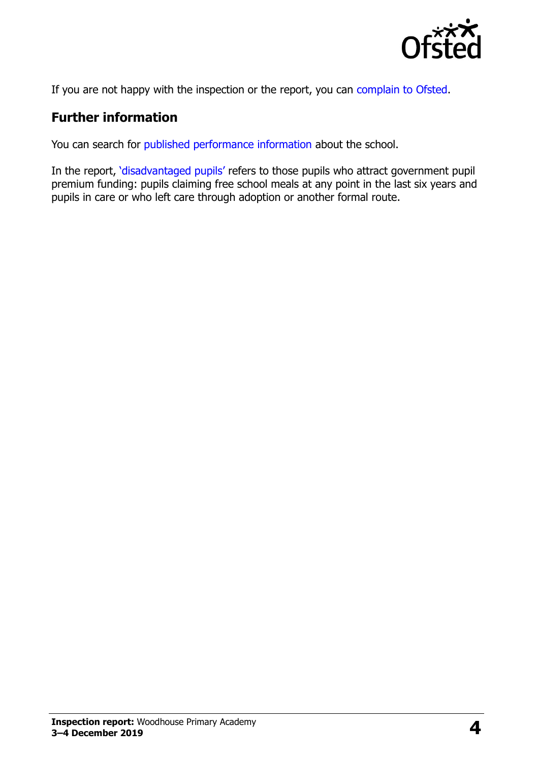

If you are not happy with the inspection or the report, you can [complain to Ofsted.](https://www.gov.uk/complain-ofsted-report)

### **Further information**

You can search for [published performance information](http://www.compare-school-performance.service.gov.uk/) about the school.

In the report, '[disadvantaged pupils](http://www.gov.uk/guidance/pupil-premium-information-for-schools-and-alternative-provision-settings)' refers to those pupils who attract government pupil premium funding: pupils claiming free school meals at any point in the last six years and pupils in care or who left care through adoption or another formal route.

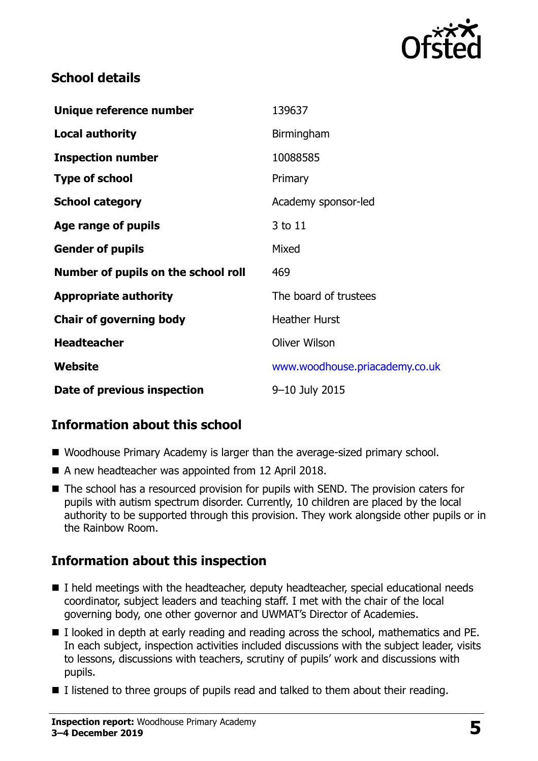

### **School details**

| Unique reference number             | 139637                         |
|-------------------------------------|--------------------------------|
| <b>Local authority</b>              | Birmingham                     |
| <b>Inspection number</b>            | 10088585                       |
| <b>Type of school</b>               | Primary                        |
| <b>School category</b>              | Academy sponsor-led            |
| Age range of pupils                 | 3 to 11                        |
| <b>Gender of pupils</b>             | Mixed                          |
| Number of pupils on the school roll | 469                            |
| <b>Appropriate authority</b>        | The board of trustees          |
| <b>Chair of governing body</b>      | <b>Heather Hurst</b>           |
| <b>Headteacher</b>                  | <b>Oliver Wilson</b>           |
| Website                             | www.woodhouse.priacademy.co.uk |
| Date of previous inspection         | 9-10 July 2015                 |

# **Information about this school**

- Woodhouse Primary Academy is larger than the average-sized primary school.
- A new headteacher was appointed from 12 April 2018.
- The school has a resourced provision for pupils with SEND. The provision caters for pupils with autism spectrum disorder. Currently, 10 children are placed by the local authority to be supported through this provision. They work alongside other pupils or in the Rainbow Room.

# **Information about this inspection**

- I held meetings with the headteacher, deputy headteacher, special educational needs coordinator, subject leaders and teaching staff. I met with the chair of the local governing body, one other governor and UWMAT's Director of Academies.
- I looked in depth at early reading and reading across the school, mathematics and PE. In each subject, inspection activities included discussions with the subject leader, visits to lessons, discussions with teachers, scrutiny of pupils' work and discussions with pupils.
- $\blacksquare$  I listened to three groups of pupils read and talked to them about their reading.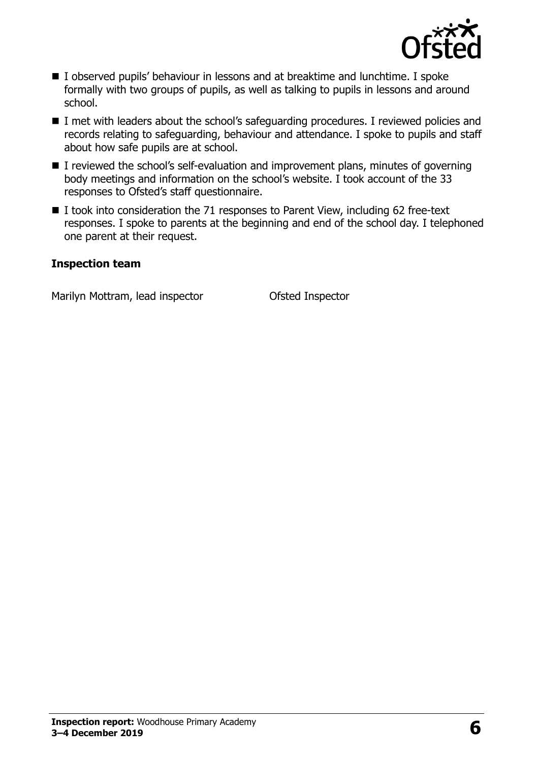

- I observed pupils' behaviour in lessons and at breaktime and lunchtime. I spoke formally with two groups of pupils, as well as talking to pupils in lessons and around school.
- I met with leaders about the school's safeguarding procedures. I reviewed policies and records relating to safeguarding, behaviour and attendance. I spoke to pupils and staff about how safe pupils are at school.
- I reviewed the school's self-evaluation and improvement plans, minutes of governing body meetings and information on the school's website. I took account of the 33 responses to Ofsted's staff questionnaire.
- I took into consideration the 71 responses to Parent View, including 62 free-text responses. I spoke to parents at the beginning and end of the school day. I telephoned one parent at their request.

#### **Inspection team**

Marilyn Mottram, lead inspector **Contact Contact Contact Inspector**